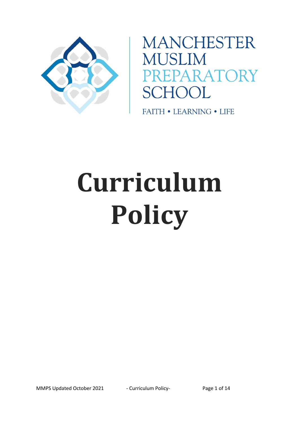

**MANCHESTER MUSLIM SCHOOL** 

**FAITH • LEARNING • LIFE** 

# **Curriculum Policy**

MMPS Updated October 2021 - Curriculum Policy-<br>
Page 1 of 14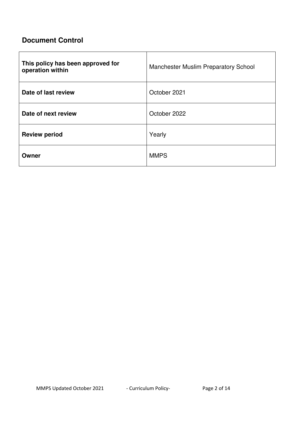# **Document Control**

| This policy has been approved for<br>operation within | <b>Manchester Muslim Preparatory School</b> |
|-------------------------------------------------------|---------------------------------------------|
| Date of last review                                   | October 2021                                |
| Date of next review                                   | October 2022                                |
| <b>Review period</b>                                  | Yearly                                      |
| Owner                                                 | <b>MMPS</b>                                 |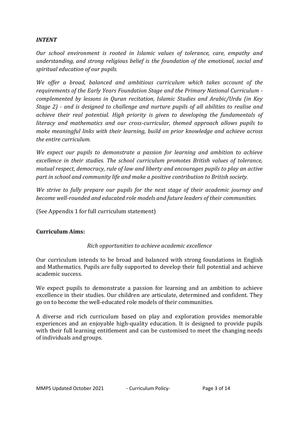# *INTENT*

*Our school environment is rooted in Islamic values of tolerance, care, empathy and understanding, and strong religious belief is the foundation of the emotional, social and spiritual education of our pupils.* 

*We offer a broad, balanced and ambitious curriculum which takes account of the requirements of the Early Years Foundation Stage and the Primary National Curriculum complemented by lessons in Quran recitation, Islamic Studies and Arabic/Urdu (in Key Stage 2) - and is designed to challenge and nurture pupils of all abilities to realise and achieve their real potential. High priority is given to developing the fundamentals of literacy and mathematics and our cross-curricular, themed approach allows pupils to make meaningful links with their learning, build on prior knowledge and achieve across the entire curriculum.* 

*We expect our pupils to demonstrate a passion for learning and ambition to achieve excellence in their studies. The school curriculum promotes British values of tolerance, mutual respect, democracy, rule of law and liberty and encourages pupils to play an active part in school and community life and make a positive contribution to British society.* 

*We strive to fully prepare our pupils for the next stage of their academic journey and become well-rounded and educated role models and future leaders of their communities.* 

(See Appendix 1 for full curriculum statement)

#### **Curriculum Aims:**

#### *Rich opportunities to achieve academic excellence*

Our curriculum intends to be broad and balanced with strong foundations in English and Mathematics. Pupils are fully supported to develop their full potential and achieve academic success.

We expect pupils to demonstrate a passion for learning and an ambition to achieve excellence in their studies. Our children are articulate, determined and confident. They go on to become the well-educated role models of their communities.

A diverse and rich curriculum based on play and exploration provides memorable experiences and an enjoyable high-quality education. It is designed to provide pupils with their full learning entitlement and can be customised to meet the changing needs of individuals and groups.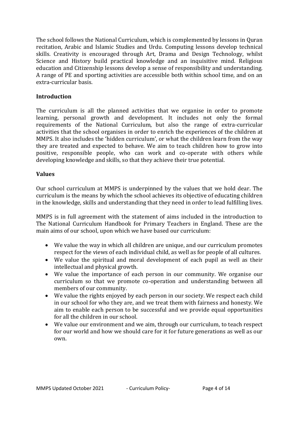The school follows the National Curriculum, which is complemented by lessons in Quran recitation, Arabic and Islamic Studies and Urdu. Computing lessons develop technical skills. Creativity is encouraged through Art, Drama and Design Technology, whilst Science and History build practical knowledge and an inquisitive mind. Religious education and Citizenship lessons develop a sense of responsibility and understanding. A range of PE and sporting activities are accessible both within school time, and on an extra-curricular basis.

#### **Introduction**

The curriculum is all the planned activities that we organise in order to promote learning, personal growth and development. It includes not only the formal requirements of the National Curriculum, but also the range of extra-curricular activities that the school organises in order to enrich the experiences of the children at MMPS. It also includes the 'hidden curriculum', or what the children learn from the way they are treated and expected to behave. We aim to teach children how to grow into positive, responsible people, who can work and co-operate with others while developing knowledge and skills, so that they achieve their true potential.

#### **Values**

Our school curriculum at MMPS is underpinned by the values that we hold dear. The curriculum is the means by which the school achieves its objective of educating children in the knowledge, skills and understanding that they need in order to lead fulfilling lives.

MMPS is in full agreement with the statement of aims included in the introduction to The National Curriculum Handbook for Primary Teachers in England. These are the main aims of our school, upon which we have based our curriculum:

- We value the way in which all children are unique, and our curriculum promotes respect for the views of each individual child, as well as for people of all cultures.
- We value the spiritual and moral development of each pupil as well as their intellectual and physical growth.
- We value the importance of each person in our community. We organise our curriculum so that we promote co-operation and understanding between all members of our community.
- We value the rights enjoyed by each person in our society. We respect each child in our school for who they are, and we treat them with fairness and honesty. We aim to enable each person to be successful and we provide equal opportunities for all the children in our school.
- We value our environment and we aim, through our curriculum, to teach respect for our world and how we should care for it for future generations as well as our own.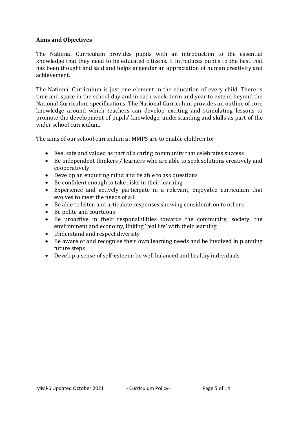#### **Aims and Objectives**

The National Curriculum provides pupils with an introduction to the essential knowledge that they need to be educated citizens. It introduces pupils to the best that has been thought and said and helps engender an appreciation of human creativity and achievement.

The National Curriculum is just one element in the education of every child. There is time and space in the school day and in each week, term and year to extend beyond the National Curriculum specifications. The National Curriculum provides an outline of core knowledge around which teachers can develop exciting and stimulating lessons to promote the development of pupils' knowledge, understanding and skills as part of the wider school curriculum.

The aims of our school curriculum at MMPS are to enable children to:

- Feel safe and valued as part of a caring community that celebrates success
- Be independent thinkers / learners who are able to seek solutions creatively and cooperatively
- Develop an enquiring mind and be able to ask questions
- Be confident enough to take risks in their learning
- Experience and actively participate in a relevant, enjoyable curriculum that evolves to meet the needs of all
- Be able to listen and articulate responses showing consideration to others
- Be polite and courteous
- Be proactive in their responsibilities towards the community, society, the environment and economy, linking 'real life' with their learning
- Understand and respect diversity
- Be aware of and recognise their own learning needs and be involved in planning future steps
- Develop a sense of self-esteem: be well balanced and healthy individuals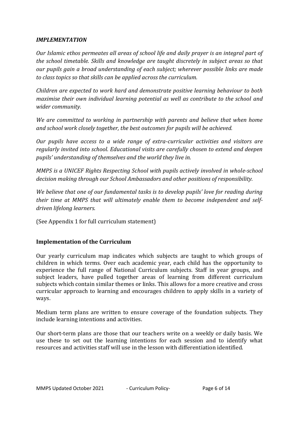#### *IMPLEMENTATION*

*Our Islamic ethos permeates all areas of school life and daily prayer is an integral part of the school timetable. Skills and knowledge are taught discretely in subject areas so that our pupils gain a broad understanding of each subject; wherever possible links are made to class topics so that skills can be applied across the curriculum.* 

*Children are expected to work hard and demonstrate positive learning behaviour to both maximise their own individual learning potential as well as contribute to the school and wider community.* 

*We are committed to working in partnership with parents and believe that when home and school work closely together, the best outcomes for pupils will be achieved.* 

*Our pupils have access to a wide range of extra-curricular activities and visitors are regularly invited into school. Educational visits are carefully chosen to extend and deepen pupils' understanding of themselves and the world they live in.* 

*MMPS is a UNICEF Rights Respecting School with pupils actively involved in whole-school decision making through our School Ambassadors and other positions of responsibility.* 

*We believe that one of our fundamental tasks is to develop pupils' love for reading during their time at MMPS that will ultimately enable them to become independent and selfdriven lifelong learners.* 

(See Appendix 1 for full curriculum statement)

# **Implementation of the Curriculum**

Our yearly curriculum map indicates which subjects are taught to which groups of children in which terms. Over each academic year, each child has the opportunity to experience the full range of National Curriculum subjects. Staff in year groups, and subject leaders, have pulled together areas of learning from different curriculum subjects which contain similar themes or links. This allows for a more creative and cross curricular approach to learning and encourages children to apply skills in a variety of ways.

Medium term plans are written to ensure coverage of the foundation subjects. They include learning intentions and activities.

Our short-term plans are those that our teachers write on a weekly or daily basis. We use these to set out the learning intentions for each session and to identify what resources and activities staff will use in the lesson with differentiation identified.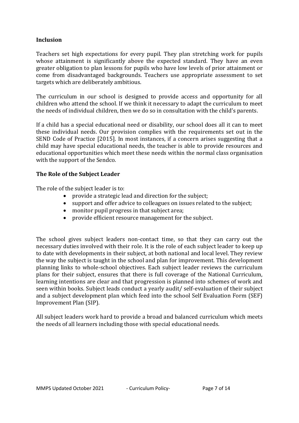#### **Inclusion**

Teachers set high expectations for every pupil. They plan stretching work for pupils whose attainment is significantly above the expected standard. They have an even greater obligation to plan lessons for pupils who have low levels of prior attainment or come from disadvantaged backgrounds. Teachers use appropriate assessment to set targets which are deliberately ambitious.

The curriculum in our school is designed to provide access and opportunity for all children who attend the school. If we think it necessary to adapt the curriculum to meet the needs of individual children, then we do so in consultation with the child's parents.

If a child has a special educational need or disability, our school does all it can to meet these individual needs. Our provision complies with the requirements set out in the SEND Code of Practice [2015]. In most instances, if a concern arises suggesting that a child may have special educational needs, the teacher is able to provide resources and educational opportunities which meet these needs within the normal class organisation with the support of the Sendco.

#### **The Role of the Subject Leader**

The role of the subject leader is to:

- provide a strategic lead and direction for the subject;
- support and offer advice to colleagues on issues related to the subject;
- monitor pupil progress in that subject area;
- provide efficient resource management for the subject.

The school gives subject leaders non-contact time, so that they can carry out the necessary duties involved with their role. It is the role of each subject leader to keep up to date with developments in their subject, at both national and local level. They review the way the subject is taught in the school and plan for improvement. This development planning links to whole-school objectives. Each subject leader reviews the curriculum plans for their subject, ensures that there is full coverage of the National Curriculum, learning intentions are clear and that progression is planned into schemes of work and seen within books. Subject leads conduct a yearly audit/ self-evaluation of their subject and a subject development plan which feed into the school Self Evaluation Form (SEF) Improvement Plan (SIP).

All subject leaders work hard to provide a broad and balanced curriculum which meets the needs of all learners including those with special educational needs.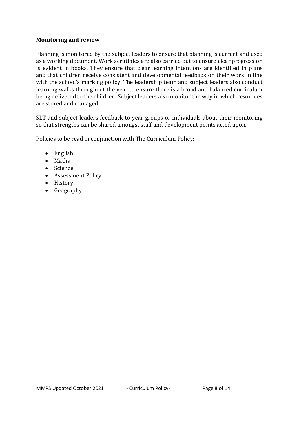#### **Monitoring and review**

Planning is monitored by the subject leaders to ensure that planning is current and used as a working document. Work scrutinies are also carried out to ensure clear progression is evident in books. They ensure that clear learning intentions are identified in plans and that children receive consistent and developmental feedback on their work in line with the school's marking policy. The leadership team and subject leaders also conduct learning walks throughout the year to ensure there is a broad and balanced curriculum being delivered to the children. Subject leaders also monitor the way in which resources are stored and managed.

SLT and subject leaders feedback to year groups or individuals about their monitoring so that strengths can be shared amongst staff and development points acted upon.

Policies to be read in conjunction with The Curriculum Policy:

- English
- Maths
- Science
- Assessment Policy
- History
- Geography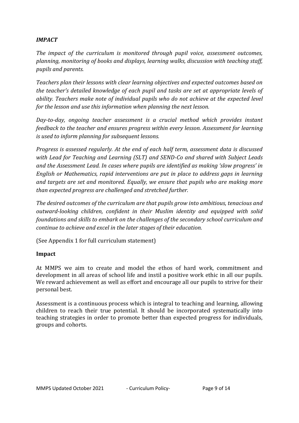# *IMPACT*

*The impact of the curriculum is monitored through pupil voice, assessment outcomes, planning, monitoring of books and displays, learning walks, discussion with teaching staff, pupils and parents.* 

*Teachers plan their lessons with clear learning objectives and expected outcomes based on the teacher's detailed knowledge of each pupil and tasks are set at appropriate levels of ability. Teachers make note of individual pupils who do not achieve at the expected level for the lesson and use this information when planning the next lesson.* 

*Day-to-day, ongoing teacher assessment is a crucial method which provides instant feedback to the teacher and ensures progress within every lesson. Assessment for learning is used to inform planning for subsequent lessons.* 

*Progress is assessed regularly. At the end of each half term, assessment data is discussed with Lead for Teaching and Learning (SLT) and SEND-Co and shared with Subject Leads and the Assessment Lead. In cases where pupils are identified as making 'slow progress' in English or Mathematics, rapid interventions are put in place to address gaps in learning and targets are set and monitored. Equally, we ensure that pupils who are making more than expected progress are challenged and stretched further.* 

*The desired outcomes of the curriculum are that pupils grow into ambitious, tenacious and outward-looking children, confident in their Muslim identity and equipped with solid foundations and skills to embark on the challenges of the secondary school curriculum and continue to achieve and excel in the later stages of their education.*

(See Appendix 1 for full curriculum statement)

# **Impact**

At MMPS we aim to create and model the ethos of hard work, commitment and development in all areas of school life and instil a positive work ethic in all our pupils. We reward achievement as well as effort and encourage all our pupils to strive for their personal best.

Assessment is a continuous process which is integral to teaching and learning, allowing children to reach their true potential. It should be incorporated systematically into teaching strategies in order to promote better than expected progress for individuals, groups and cohorts.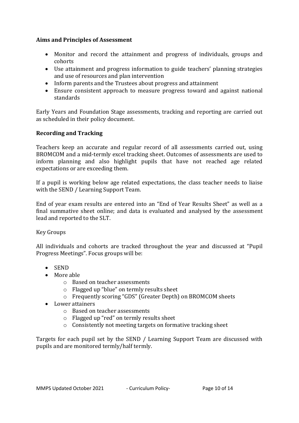# **Aims and Principles of Assessment**

- Monitor and record the attainment and progress of individuals, groups and cohorts
- Use attainment and progress information to guide teachers' planning strategies and use of resources and plan intervention
- Inform parents and the Trustees about progress and attainment
- Ensure consistent approach to measure progress toward and against national standards

Early Years and Foundation Stage assessments, tracking and reporting are carried out as scheduled in their policy document.

#### **Recording and Tracking**

Teachers keep an accurate and regular record of all assessments carried out, using BROMCOM and a mid-termly excel tracking sheet. Outcomes of assessments are used to inform planning and also highlight pupils that have not reached age related expectations or are exceeding them.

If a pupil is working below age related expectations, the class teacher needs to liaise with the SEND / Learning Support Team.

End of year exam results are entered into an "End of Year Results Sheet" as well as a final summative sheet online; and data is evaluated and analysed by the assessment lead and reported to the SLT.

Key Groups

All individuals and cohorts are tracked throughout the year and discussed at "Pupil Progress Meetings". Focus groups will be:

- SEND
- More able
	- o Based on teacher assessments
	- o Flagged up "blue" on termly results sheet
	- o Frequently scoring "GDS" (Greater Depth) on BROMCOM sheets
- Lower attainers
	- o Based on teacher assessments
	- o Flagged up "red" on termly results sheet
	- o Consistently not meeting targets on formative tracking sheet

Targets for each pupil set by the SEND / Learning Support Team are discussed with pupils and are monitored termly/half termly.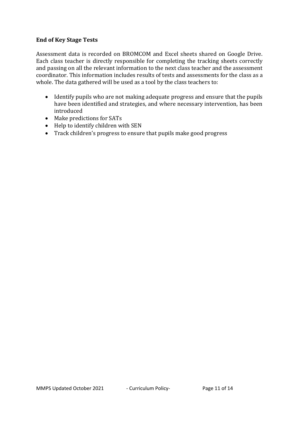# **End of Key Stage Tests**

Assessment data is recorded on BROMCOM and Excel sheets shared on Google Drive. Each class teacher is directly responsible for completing the tracking sheets correctly and passing on all the relevant information to the next class teacher and the assessment coordinator. This information includes results of tests and assessments for the class as a whole. The data gathered will be used as a tool by the class teachers to:

- Identify pupils who are not making adequate progress and ensure that the pupils have been identified and strategies, and where necessary intervention, has been introduced
- Make predictions for SATs
- Help to identify children with SEN
- Track children's progress to ensure that pupils make good progress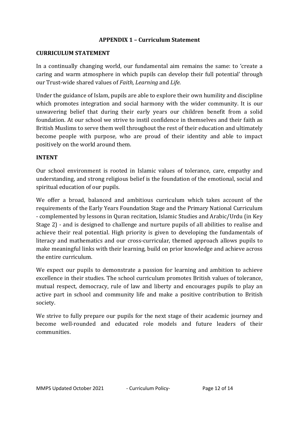# **APPENDIX 1 – Curriculum Statement**

#### **CURRICULUM STATEMENT**

In a continually changing world, our fundamental aim remains the same: to 'create a caring and warm atmosphere in which pupils can develop their full potential' through our Trust-wide shared values of *Faith, Learning* and *Life*.

Under the guidance of Islam, pupils are able to explore their own humility and discipline which promotes integration and social harmony with the wider community. It is our unwavering belief that during their early years our children benefit from a solid foundation. At our school we strive to instil confidence in themselves and their faith as British Muslims to serve them well throughout the rest of their education and ultimately become people with purpose, who are proud of their identity and able to impact positively on the world around them.

#### **INTENT**

Our school environment is rooted in Islamic values of tolerance, care, empathy and understanding, and strong religious belief is the foundation of the emotional, social and spiritual education of our pupils.

We offer a broad, balanced and ambitious curriculum which takes account of the requirements of the Early Years Foundation Stage and the Primary National Curriculum - complemented by lessons in Quran recitation, Islamic Studies and Arabic/Urdu (in Key Stage 2) - and is designed to challenge and nurture pupils of all abilities to realise and achieve their real potential. High priority is given to developing the fundamentals of literacy and mathematics and our cross-curricular, themed approach allows pupils to make meaningful links with their learning, build on prior knowledge and achieve across the entire curriculum.

We expect our pupils to demonstrate a passion for learning and ambition to achieve excellence in their studies. The school curriculum promotes British values of tolerance, mutual respect, democracy, rule of law and liberty and encourages pupils to play an active part in school and community life and make a positive contribution to British society.

We strive to fully prepare our pupils for the next stage of their academic journey and become well-rounded and educated role models and future leaders of their communities.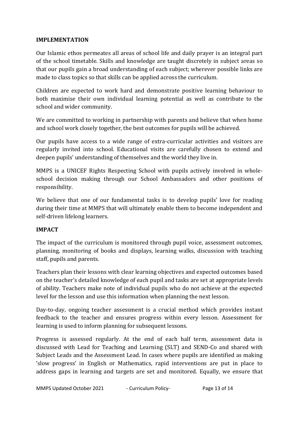# **IMPLEMENTATION**

Our Islamic ethos permeates all areas of school life and daily prayer is an integral part of the school timetable. Skills and knowledge are taught discretely in subject areas so that our pupils gain a broad understanding of each subject; wherever possible links are made to class topics so that skills can be applied across the curriculum.

Children are expected to work hard and demonstrate positive learning behaviour to both maximise their own individual learning potential as well as contribute to the school and wider community.

We are committed to working in partnership with parents and believe that when home and school work closely together, the best outcomes for pupils will be achieved.

Our pupils have access to a wide range of extra-curricular activities and visitors are regularly invited into school. Educational visits are carefully chosen to extend and deepen pupils' understanding of themselves and the world they live in.

MMPS is a UNICEF Rights Respecting School with pupils actively involved in wholeschool decision making through our School Ambassadors and other positions of responsibility.

We believe that one of our fundamental tasks is to develop pupils' love for reading during their time at MMPS that will ultimately enable them to become independent and self-driven lifelong learners.

# **IMPACT**

The impact of the curriculum is monitored through pupil voice, assessment outcomes, planning, monitoring of books and displays, learning walks, discussion with teaching staff, pupils and parents.

Teachers plan their lessons with clear learning objectives and expected outcomes based on the teacher's detailed knowledge of each pupil and tasks are set at appropriate levels of ability. Teachers make note of individual pupils who do not achieve at the expected level for the lesson and use this information when planning the next lesson.

Day-to-day, ongoing teacher assessment is a crucial method which provides instant feedback to the teacher and ensures progress within every lesson. Assessment for learning is used to inform planning for subsequent lessons.

Progress is assessed regularly. At the end of each half term, assessment data is discussed with Lead for Teaching and Learning (SLT) and SEND-Co and shared with Subject Leads and the Assessment Lead. In cases where pupils are identified as making 'slow progress' in English or Mathematics, rapid interventions are put in place to address gaps in learning and targets are set and monitored. Equally, we ensure that